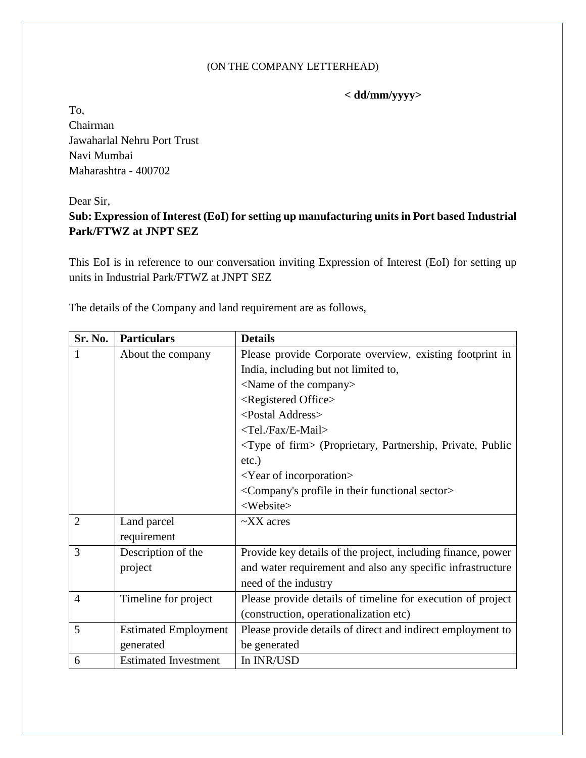## (ON THE COMPANY LETTERHEAD)

## **< dd/mm/yyyy>**

To, Chairman Jawaharlal Nehru Port Trust Navi Mumbai Maharashtra - 400702

## Dear Sir,

## **Sub: Expression of Interest (EoI) for setting up manufacturing units in Port based Industrial Park/FTWZ at JNPT SEZ**

This EoI is in reference to our conversation inviting Expression of Interest (EoI) for setting up units in Industrial Park/FTWZ at JNPT SEZ

The details of the Company and land requirement are as follows,

| <b>Sr. No.</b> | <b>Particulars</b>          | <b>Details</b>                                                            |
|----------------|-----------------------------|---------------------------------------------------------------------------|
|                | About the company           | Please provide Corporate overview, existing footprint in                  |
|                |                             | India, including but not limited to,                                      |
|                |                             | <name company="" of="" the=""></name>                                     |
|                |                             | <registered office=""></registered>                                       |
|                |                             | <postal address=""></postal>                                              |
|                |                             | <tel. e-mail="" fax=""></tel.>                                            |
|                |                             | <type firm="" of=""> (Proprietary, Partnership, Private, Public</type>    |
|                |                             | $etc.$ )                                                                  |
|                |                             | $<$ Year of incorporation $>$                                             |
|                |                             | <company's functional="" in="" profile="" sector="" their=""></company's> |
|                |                             | <website></website>                                                       |
| $\overline{2}$ | Land parcel                 | $\sim$ XX acres                                                           |
|                | requirement                 |                                                                           |
| 3              | Description of the          | Provide key details of the project, including finance, power              |
|                | project                     | and water requirement and also any specific infrastructure                |
|                |                             | need of the industry                                                      |
| $\overline{4}$ | Timeline for project        | Please provide details of timeline for execution of project               |
|                |                             | (construction, operationalization etc)                                    |
| 5              | <b>Estimated Employment</b> | Please provide details of direct and indirect employment to               |
|                | generated                   | be generated                                                              |
| 6              | <b>Estimated Investment</b> | In INR/USD                                                                |